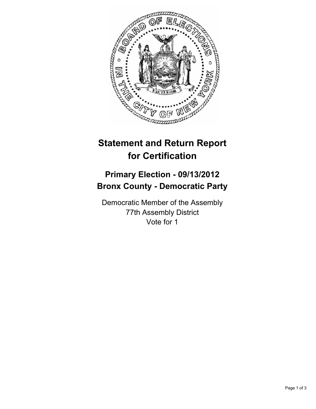

## **Statement and Return Report for Certification**

## **Primary Election - 09/13/2012 Bronx County - Democratic Party**

Democratic Member of the Assembly 77th Assembly District Vote for 1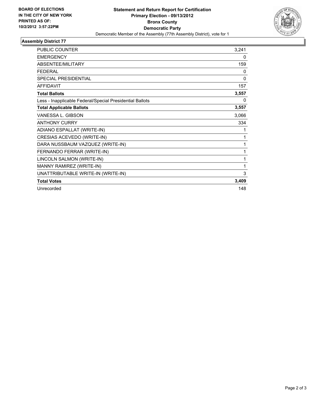

## **Assembly District 77**

| <b>PUBLIC COUNTER</b>                                    | 3,241 |
|----------------------------------------------------------|-------|
| <b>EMERGENCY</b>                                         | 0     |
| <b>ABSENTEE/MILITARY</b>                                 | 159   |
| <b>FEDERAL</b>                                           | 0     |
| SPECIAL PRESIDENTIAL                                     | 0     |
| <b>AFFIDAVIT</b>                                         | 157   |
| <b>Total Ballots</b>                                     | 3,557 |
| Less - Inapplicable Federal/Special Presidential Ballots | 0     |
| <b>Total Applicable Ballots</b>                          | 3,557 |
| VANESSA L. GIBSON                                        | 3,066 |
| <b>ANTHONY CURRY</b>                                     | 334   |
| ADIANO ESPALLAT (WRITE-IN)                               | 1     |
| CRESIAS ACEVEDO (WRITE-IN)                               | 1     |
| DARA NUSSBAUM VAZQUEZ (WRITE-IN)                         | 1     |
| FERNANDO FERRAR (WRITE-IN)                               | 1     |
| LINCOLN SALMON (WRITE-IN)                                | 1     |
| MANNY RAMIREZ (WRITE-IN)                                 | 1     |
| UNATTRIBUTABLE WRITE-IN (WRITE-IN)                       | 3     |
| <b>Total Votes</b>                                       | 3,409 |
| Unrecorded                                               | 148   |